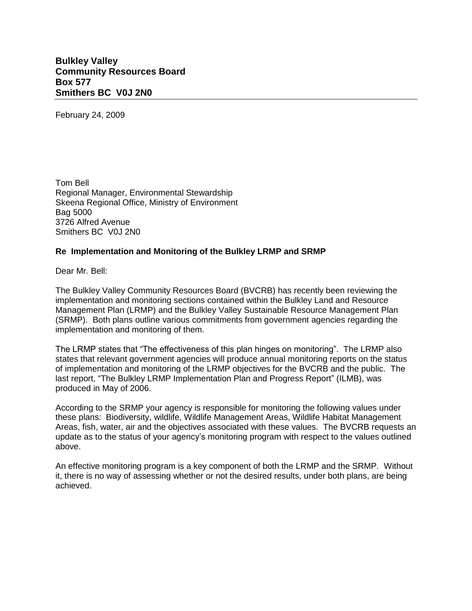## **Bulkley Valley Community Resources Board Box 577 Smithers BC V0J 2N0**

February 24, 2009

Tom Bell Regional Manager, Environmental Stewardship Skeena Regional Office, Ministry of Environment Bag 5000 3726 Alfred Avenue Smithers BC V0J 2N0

## **Re Implementation and Monitoring of the Bulkley LRMP and SRMP**

Dear Mr. Bell:

The Bulkley Valley Community Resources Board (BVCRB) has recently been reviewing the implementation and monitoring sections contained within the Bulkley Land and Resource Management Plan (LRMP) and the Bulkley Valley Sustainable Resource Management Plan (SRMP). Both plans outline various commitments from government agencies regarding the implementation and monitoring of them.

The LRMP states that "The effectiveness of this plan hinges on monitoring". The LRMP also states that relevant government agencies will produce annual monitoring reports on the status of implementation and monitoring of the LRMP objectives for the BVCRB and the public. The last report, "The Bulkley LRMP Implementation Plan and Progress Report" (ILMB), was produced in May of 2006.

According to the SRMP your agency is responsible for monitoring the following values under these plans: Biodiversity, wildlife, Wildlife Management Areas, Wildlife Habitat Management Areas, fish, water, air and the objectives associated with these values. The BVCRB requests an update as to the status of your agency's monitoring program with respect to the values outlined above.

An effective monitoring program is a key component of both the LRMP and the SRMP. Without it, there is no way of assessing whether or not the desired results, under both plans, are being achieved.